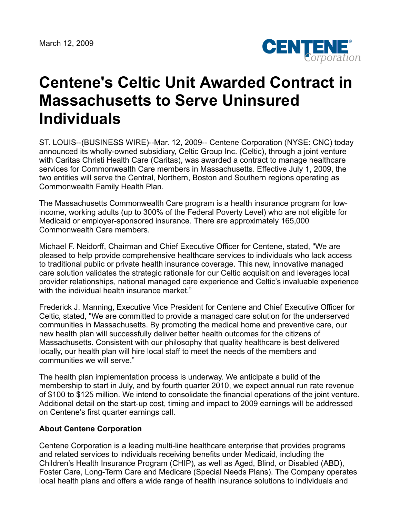

## **Centene's Celtic Unit Awarded Contract in Massachusetts to Serve Uninsured Individuals**

ST. LOUIS--(BUSINESS WIRE)--Mar. 12, 2009-- Centene Corporation (NYSE: CNC) today announced its wholly-owned subsidiary, Celtic Group Inc. (Celtic), through a joint venture with Caritas Christi Health Care (Caritas), was awarded a contract to manage healthcare services for Commonwealth Care members in Massachusetts. Effective July 1, 2009, the two entities will serve the Central, Northern, Boston and Southern regions operating as Commonwealth Family Health Plan.

The Massachusetts Commonwealth Care program is a health insurance program for lowincome, working adults (up to 300% of the Federal Poverty Level) who are not eligible for Medicaid or employer-sponsored insurance. There are approximately 165,000 Commonwealth Care members.

Michael F. Neidorff, Chairman and Chief Executive Officer for Centene, stated, "We are pleased to help provide comprehensive healthcare services to individuals who lack access to traditional public or private health insurance coverage. This new, innovative managed care solution validates the strategic rationale for our Celtic acquisition and leverages local provider relationships, national managed care experience and Celtic's invaluable experience with the individual health insurance market."

Frederick J. Manning, Executive Vice President for Centene and Chief Executive Officer for Celtic, stated, "We are committed to provide a managed care solution for the underserved communities in Massachusetts. By promoting the medical home and preventive care, our new health plan will successfully deliver better health outcomes for the citizens of Massachusetts. Consistent with our philosophy that quality healthcare is best delivered locally, our health plan will hire local staff to meet the needs of the members and communities we will serve."

The health plan implementation process is underway. We anticipate a build of the membership to start in July, and by fourth quarter 2010, we expect annual run rate revenue of \$100 to \$125 million. We intend to consolidate the financial operations of the joint venture. Additional detail on the start-up cost, timing and impact to 2009 earnings will be addressed on Centene's first quarter earnings call.

## **About Centene Corporation**

Centene Corporation is a leading multi-line healthcare enterprise that provides programs and related services to individuals receiving benefits under Medicaid, including the Children's Health Insurance Program (CHIP), as well as Aged, Blind, or Disabled (ABD), Foster Care, Long-Term Care and Medicare (Special Needs Plans). The Company operates local health plans and offers a wide range of health insurance solutions to individuals and